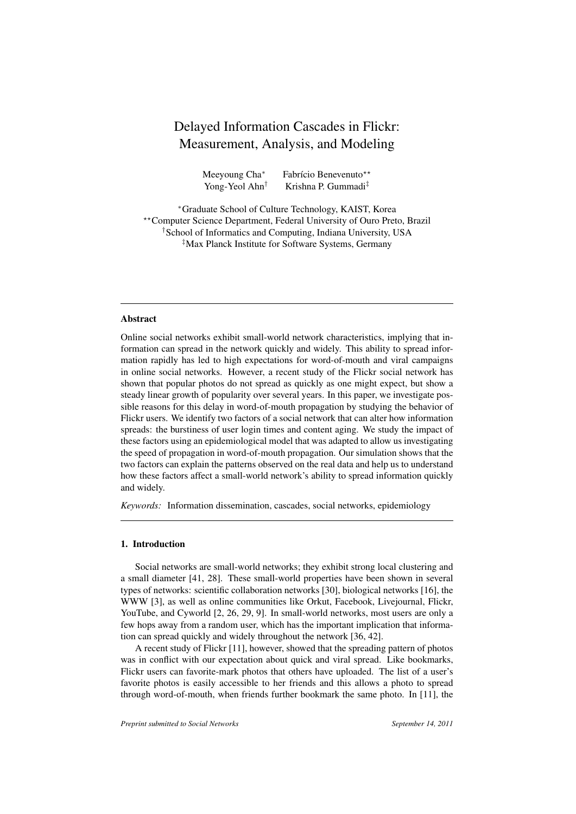# Delayed Information Cascades in Flickr: Measurement, Analysis, and Modeling

Meeyoung Cha<sup>∗</sup> Fabrício Benevenuto<sup>\*\*</sup> Yong-Yeol Ahn† Krishna P. Gummadi‡

<sup>∗</sup>Graduate School of Culture Technology, KAIST, Korea \*\* Computer Science Department, Federal University of Ouro Preto, Brazil †School of Informatics and Computing, Indiana University, USA ‡Max Planck Institute for Software Systems, Germany

# Abstract

Online social networks exhibit small-world network characteristics, implying that information can spread in the network quickly and widely. This ability to spread information rapidly has led to high expectations for word-of-mouth and viral campaigns in online social networks. However, a recent study of the Flickr social network has shown that popular photos do not spread as quickly as one might expect, but show a steady linear growth of popularity over several years. In this paper, we investigate possible reasons for this delay in word-of-mouth propagation by studying the behavior of Flickr users. We identify two factors of a social network that can alter how information spreads: the burstiness of user login times and content aging. We study the impact of these factors using an epidemiological model that was adapted to allow us investigating the speed of propagation in word-of-mouth propagation. Our simulation shows that the two factors can explain the patterns observed on the real data and help us to understand how these factors affect a small-world network's ability to spread information quickly and widely.

*Keywords:* Information dissemination, cascades, social networks, epidemiology

# 1. Introduction

Social networks are small-world networks; they exhibit strong local clustering and a small diameter [41, 28]. These small-world properties have been shown in several types of networks: scientific collaboration networks [30], biological networks [16], the WWW [3], as well as online communities like Orkut, Facebook, Livejournal, Flickr, YouTube, and Cyworld [2, 26, 29, 9]. In small-world networks, most users are only a few hops away from a random user, which has the important implication that information can spread quickly and widely throughout the network [36, 42].

A recent study of Flickr [11], however, showed that the spreading pattern of photos was in conflict with our expectation about quick and viral spread. Like bookmarks, Flickr users can favorite-mark photos that others have uploaded. The list of a user's favorite photos is easily accessible to her friends and this allows a photo to spread through word-of-mouth, when friends further bookmark the same photo. In [11], the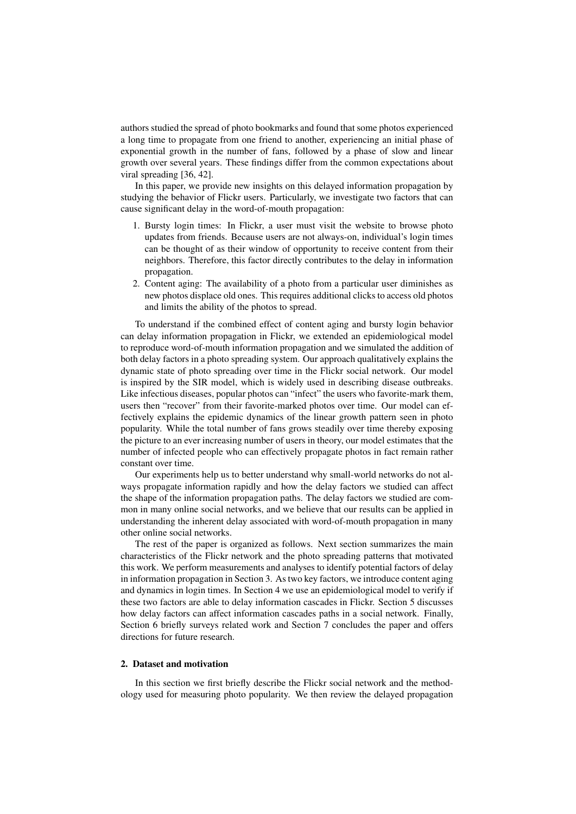authors studied the spread of photo bookmarks and found that some photos experienced a long time to propagate from one friend to another, experiencing an initial phase of exponential growth in the number of fans, followed by a phase of slow and linear growth over several years. These findings differ from the common expectations about viral spreading [36, 42].

In this paper, we provide new insights on this delayed information propagation by studying the behavior of Flickr users. Particularly, we investigate two factors that can cause significant delay in the word-of-mouth propagation:

- 1. Bursty login times: In Flickr, a user must visit the website to browse photo updates from friends. Because users are not always-on, individual's login times can be thought of as their window of opportunity to receive content from their neighbors. Therefore, this factor directly contributes to the delay in information propagation.
- 2. Content aging: The availability of a photo from a particular user diminishes as new photos displace old ones. This requires additional clicks to access old photos and limits the ability of the photos to spread.

To understand if the combined effect of content aging and bursty login behavior can delay information propagation in Flickr, we extended an epidemiological model to reproduce word-of-mouth information propagation and we simulated the addition of both delay factors in a photo spreading system. Our approach qualitatively explains the dynamic state of photo spreading over time in the Flickr social network. Our model is inspired by the SIR model, which is widely used in describing disease outbreaks. Like infectious diseases, popular photos can "infect" the users who favorite-mark them, users then "recover" from their favorite-marked photos over time. Our model can effectively explains the epidemic dynamics of the linear growth pattern seen in photo popularity. While the total number of fans grows steadily over time thereby exposing the picture to an ever increasing number of users in theory, our model estimates that the number of infected people who can effectively propagate photos in fact remain rather constant over time.

Our experiments help us to better understand why small-world networks do not always propagate information rapidly and how the delay factors we studied can affect the shape of the information propagation paths. The delay factors we studied are common in many online social networks, and we believe that our results can be applied in understanding the inherent delay associated with word-of-mouth propagation in many other online social networks.

The rest of the paper is organized as follows. Next section summarizes the main characteristics of the Flickr network and the photo spreading patterns that motivated this work. We perform measurements and analyses to identify potential factors of delay in information propagation in Section 3. As two key factors, we introduce content aging and dynamics in login times. In Section 4 we use an epidemiological model to verify if these two factors are able to delay information cascades in Flickr. Section 5 discusses how delay factors can affect information cascades paths in a social network. Finally, Section 6 briefly surveys related work and Section 7 concludes the paper and offers directions for future research.

#### 2. Dataset and motivation

In this section we first briefly describe the Flickr social network and the methodology used for measuring photo popularity. We then review the delayed propagation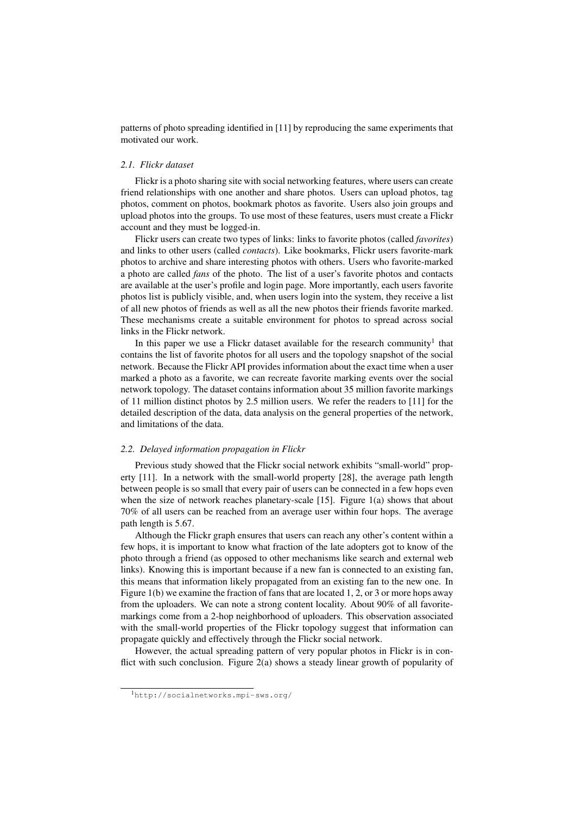patterns of photo spreading identified in [11] by reproducing the same experiments that motivated our work.

## *2.1. Flickr dataset*

Flickr is a photo sharing site with social networking features, where users can create friend relationships with one another and share photos. Users can upload photos, tag photos, comment on photos, bookmark photos as favorite. Users also join groups and upload photos into the groups. To use most of these features, users must create a Flickr account and they must be logged-in.

Flickr users can create two types of links: links to favorite photos (called *favorites*) and links to other users (called *contacts*). Like bookmarks, Flickr users favorite-mark photos to archive and share interesting photos with others. Users who favorite-marked a photo are called *fans* of the photo. The list of a user's favorite photos and contacts are available at the user's profile and login page. More importantly, each users favorite photos list is publicly visible, and, when users login into the system, they receive a list of all new photos of friends as well as all the new photos their friends favorite marked. These mechanisms create a suitable environment for photos to spread across social links in the Flickr network.

In this paper we use a Flickr dataset available for the research community<sup>1</sup> that contains the list of favorite photos for all users and the topology snapshot of the social network. Because the Flickr API provides information about the exact time when a user marked a photo as a favorite, we can recreate favorite marking events over the social network topology. The dataset contains information about 35 million favorite markings of 11 million distinct photos by 2.5 million users. We refer the readers to [11] for the detailed description of the data, data analysis on the general properties of the network, and limitations of the data.

#### *2.2. Delayed information propagation in Flickr*

Previous study showed that the Flickr social network exhibits "small-world" property [11]. In a network with the small-world property [28], the average path length between people is so small that every pair of users can be connected in a few hops even when the size of network reaches planetary-scale [15]. Figure 1(a) shows that about 70% of all users can be reached from an average user within four hops. The average path length is 5.67.

Although the Flickr graph ensures that users can reach any other's content within a few hops, it is important to know what fraction of the late adopters got to know of the photo through a friend (as opposed to other mechanisms like search and external web links). Knowing this is important because if a new fan is connected to an existing fan, this means that information likely propagated from an existing fan to the new one. In Figure 1(b) we examine the fraction of fans that are located 1, 2, or 3 or more hops away from the uploaders. We can note a strong content locality. About 90% of all favoritemarkings come from a 2-hop neighborhood of uploaders. This observation associated with the small-world properties of the Flickr topology suggest that information can propagate quickly and effectively through the Flickr social network.

However, the actual spreading pattern of very popular photos in Flickr is in conflict with such conclusion. Figure 2(a) shows a steady linear growth of popularity of

<sup>1</sup>http://socialnetworks.mpi-sws.org/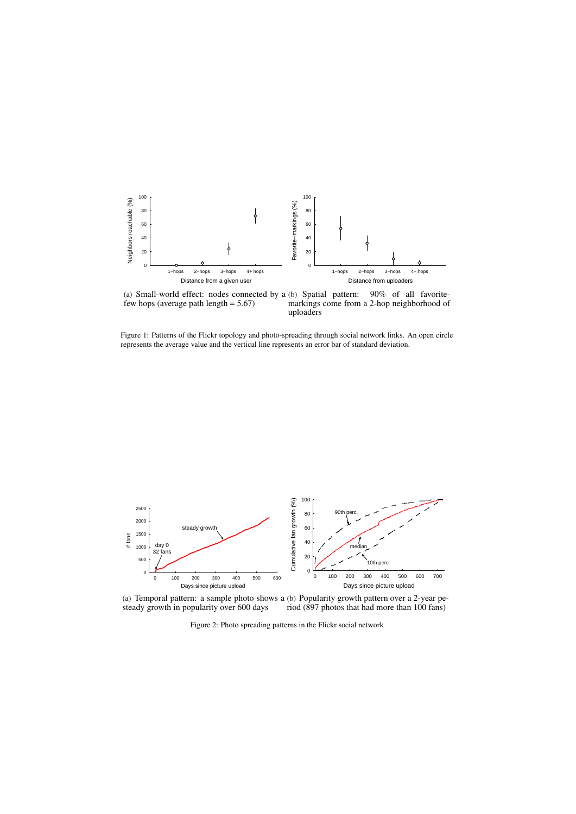

(a) Small-world effect: nodes connected by a (b) Spatial pattern: few hops (average path length = 5.67) 90% of all favoritemarkings come from a 2-hop neighborhood of uploaders

Figure 1: Patterns of the Flickr topology and photo-spreading through social network links. An open circle represents the average value and the vertical line represents an error bar of standard deviation.



(a) Temporal pattern: a sample photo shows a steady growth in popularity over 600 days (b) Popularity growth pattern over a 2-year period (897 photos that had more than 100 fans)

Figure 2: Photo spreading patterns in the Flickr social network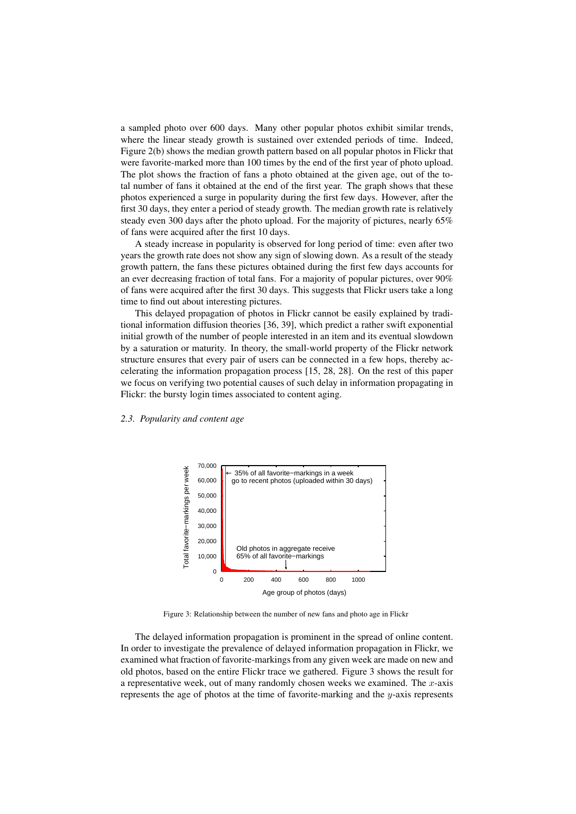a sampled photo over 600 days. Many other popular photos exhibit similar trends, where the linear steady growth is sustained over extended periods of time. Indeed, Figure 2(b) shows the median growth pattern based on all popular photos in Flickr that were favorite-marked more than 100 times by the end of the first year of photo upload. The plot shows the fraction of fans a photo obtained at the given age, out of the total number of fans it obtained at the end of the first year. The graph shows that these photos experienced a surge in popularity during the first few days. However, after the first 30 days, they enter a period of steady growth. The median growth rate is relatively steady even 300 days after the photo upload. For the majority of pictures, nearly 65% of fans were acquired after the first 10 days.

A steady increase in popularity is observed for long period of time: even after two years the growth rate does not show any sign of slowing down. As a result of the steady growth pattern, the fans these pictures obtained during the first few days accounts for an ever decreasing fraction of total fans. For a majority of popular pictures, over 90% of fans were acquired after the first 30 days. This suggests that Flickr users take a long time to find out about interesting pictures.

This delayed propagation of photos in Flickr cannot be easily explained by traditional information diffusion theories [36, 39], which predict a rather swift exponential initial growth of the number of people interested in an item and its eventual slowdown by a saturation or maturity. In theory, the small-world property of the Flickr network structure ensures that every pair of users can be connected in a few hops, thereby accelerating the information propagation process [15, 28, 28]. On the rest of this paper we focus on verifying two potential causes of such delay in information propagating in Flickr: the bursty login times associated to content aging.



#### *2.3. Popularity and content age*

Figure 3: Relationship between the number of new fans and photo age in Flickr

The delayed information propagation is prominent in the spread of online content. In order to investigate the prevalence of delayed information propagation in Flickr, we examined what fraction of favorite-markings from any given week are made on new and old photos, based on the entire Flickr trace we gathered. Figure 3 shows the result for a representative week, out of many randomly chosen weeks we examined. The  $x$ -axis represents the age of photos at the time of favorite-marking and the  $y$ -axis represents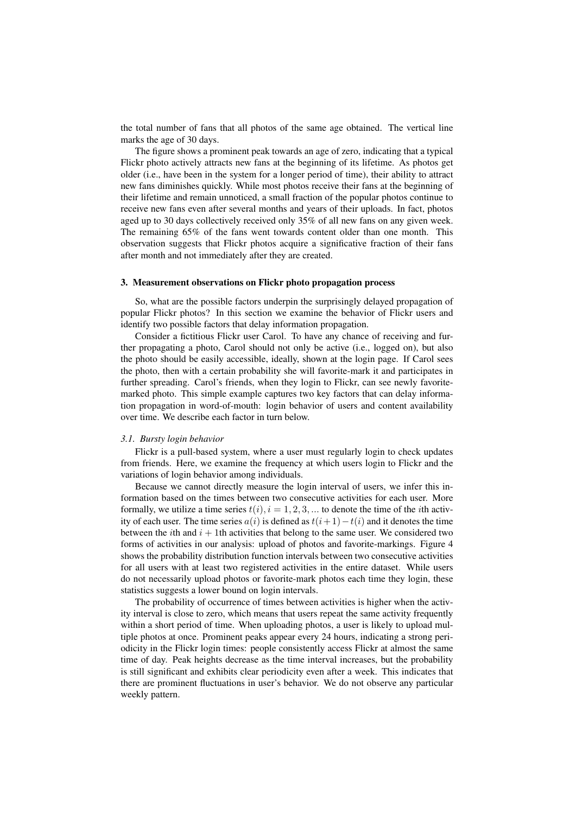the total number of fans that all photos of the same age obtained. The vertical line marks the age of 30 days.

The figure shows a prominent peak towards an age of zero, indicating that a typical Flickr photo actively attracts new fans at the beginning of its lifetime. As photos get older (i.e., have been in the system for a longer period of time), their ability to attract new fans diminishes quickly. While most photos receive their fans at the beginning of their lifetime and remain unnoticed, a small fraction of the popular photos continue to receive new fans even after several months and years of their uploads. In fact, photos aged up to 30 days collectively received only 35% of all new fans on any given week. The remaining 65% of the fans went towards content older than one month. This observation suggests that Flickr photos acquire a significative fraction of their fans after month and not immediately after they are created.

### 3. Measurement observations on Flickr photo propagation process

So, what are the possible factors underpin the surprisingly delayed propagation of popular Flickr photos? In this section we examine the behavior of Flickr users and identify two possible factors that delay information propagation.

Consider a fictitious Flickr user Carol. To have any chance of receiving and further propagating a photo, Carol should not only be active (i.e., logged on), but also the photo should be easily accessible, ideally, shown at the login page. If Carol sees the photo, then with a certain probability she will favorite-mark it and participates in further spreading. Carol's friends, when they login to Flickr, can see newly favoritemarked photo. This simple example captures two key factors that can delay information propagation in word-of-mouth: login behavior of users and content availability over time. We describe each factor in turn below.

#### *3.1. Bursty login behavior*

Flickr is a pull-based system, where a user must regularly login to check updates from friends. Here, we examine the frequency at which users login to Flickr and the variations of login behavior among individuals.

Because we cannot directly measure the login interval of users, we infer this information based on the times between two consecutive activities for each user. More formally, we utilize a time series  $t(i)$ ,  $i = 1, 2, 3, ...$  to denote the time of the *i*th activity of each user. The time series  $a(i)$  is defined as  $t(i+1)-t(i)$  and it denotes the time between the *i*th and  $i + 1$ th activities that belong to the same user. We considered two forms of activities in our analysis: upload of photos and favorite-markings. Figure 4 shows the probability distribution function intervals between two consecutive activities for all users with at least two registered activities in the entire dataset. While users do not necessarily upload photos or favorite-mark photos each time they login, these statistics suggests a lower bound on login intervals.

The probability of occurrence of times between activities is higher when the activity interval is close to zero, which means that users repeat the same activity frequently within a short period of time. When uploading photos, a user is likely to upload multiple photos at once. Prominent peaks appear every 24 hours, indicating a strong periodicity in the Flickr login times: people consistently access Flickr at almost the same time of day. Peak heights decrease as the time interval increases, but the probability is still significant and exhibits clear periodicity even after a week. This indicates that there are prominent fluctuations in user's behavior. We do not observe any particular weekly pattern.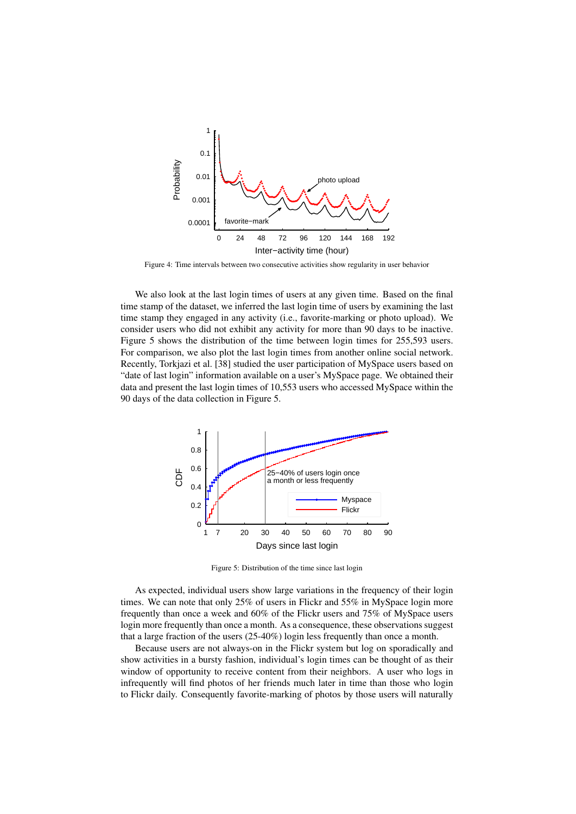

Figure 4: Time intervals between two consecutive activities show regularity in user behavior

We also look at the last login times of users at any given time. Based on the final time stamp of the dataset, we inferred the last login time of users by examining the last time stamp they engaged in any activity (i.e., favorite-marking or photo upload). We consider users who did not exhibit any activity for more than 90 days to be inactive. Figure 5 shows the distribution of the time between login times for 255,593 users. For comparison, we also plot the last login times from another online social network. Recently, Torkjazi et al. [38] studied the user participation of MySpace users based on "date of last login" information available on a user's MySpace page. We obtained their data and present the last login times of 10,553 users who accessed MySpace within the 90 days of the data collection in Figure 5.



Figure 5: Distribution of the time since last login

As expected, individual users show large variations in the frequency of their login times. We can note that only 25% of users in Flickr and 55% in MySpace login more frequently than once a week and 60% of the Flickr users and 75% of MySpace users login more frequently than once a month. As a consequence, these observations suggest that a large fraction of the users (25-40%) login less frequently than once a month.

Because users are not always-on in the Flickr system but log on sporadically and show activities in a bursty fashion, individual's login times can be thought of as their window of opportunity to receive content from their neighbors. A user who logs in infrequently will find photos of her friends much later in time than those who login to Flickr daily. Consequently favorite-marking of photos by those users will naturally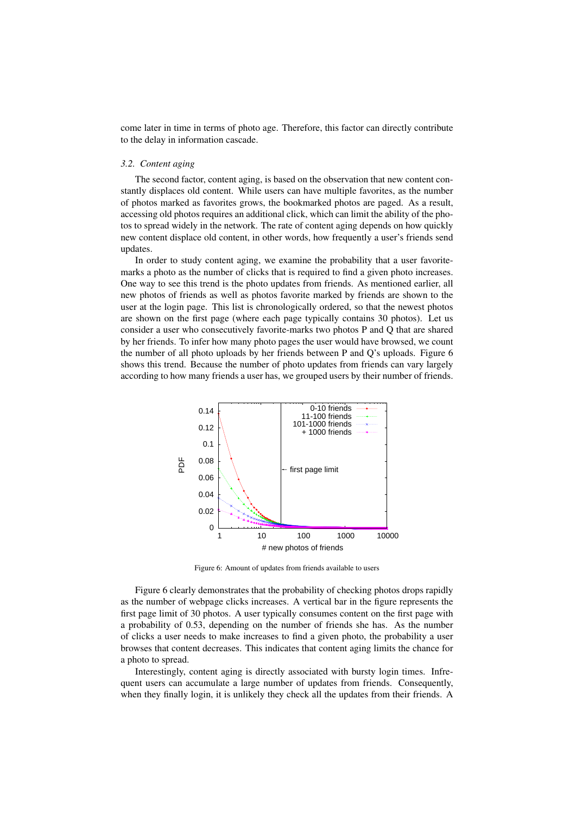come later in time in terms of photo age. Therefore, this factor can directly contribute to the delay in information cascade.

# *3.2. Content aging*

The second factor, content aging, is based on the observation that new content constantly displaces old content. While users can have multiple favorites, as the number of photos marked as favorites grows, the bookmarked photos are paged. As a result, accessing old photos requires an additional click, which can limit the ability of the photos to spread widely in the network. The rate of content aging depends on how quickly new content displace old content, in other words, how frequently a user's friends send updates.

In order to study content aging, we examine the probability that a user favoritemarks a photo as the number of clicks that is required to find a given photo increases. One way to see this trend is the photo updates from friends. As mentioned earlier, all new photos of friends as well as photos favorite marked by friends are shown to the user at the login page. This list is chronologically ordered, so that the newest photos are shown on the first page (where each page typically contains 30 photos). Let us consider a user who consecutively favorite-marks two photos P and Q that are shared by her friends. To infer how many photo pages the user would have browsed, we count the number of all photo uploads by her friends between P and Q's uploads. Figure 6 shows this trend. Because the number of photo updates from friends can vary largely according to how many friends a user has, we grouped users by their number of friends.



Figure 6: Amount of updates from friends available to users

Figure 6 clearly demonstrates that the probability of checking photos drops rapidly as the number of webpage clicks increases. A vertical bar in the figure represents the first page limit of 30 photos. A user typically consumes content on the first page with a probability of 0.53, depending on the number of friends she has. As the number of clicks a user needs to make increases to find a given photo, the probability a user browses that content decreases. This indicates that content aging limits the chance for a photo to spread.

Interestingly, content aging is directly associated with bursty login times. Infrequent users can accumulate a large number of updates from friends. Consequently, when they finally login, it is unlikely they check all the updates from their friends. A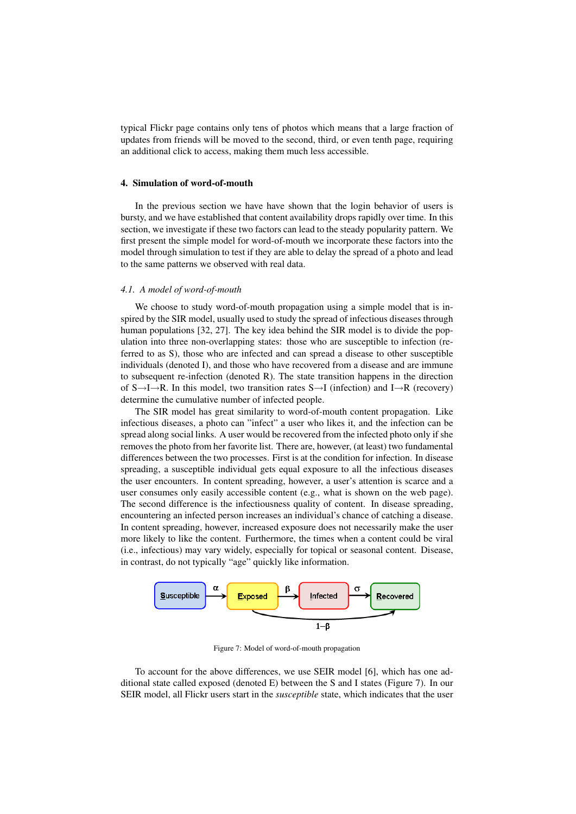typical Flickr page contains only tens of photos which means that a large fraction of updates from friends will be moved to the second, third, or even tenth page, requiring an additional click to access, making them much less accessible.

#### 4. Simulation of word-of-mouth

In the previous section we have have shown that the login behavior of users is bursty, and we have established that content availability drops rapidly over time. In this section, we investigate if these two factors can lead to the steady popularity pattern. We first present the simple model for word-of-mouth we incorporate these factors into the model through simulation to test if they are able to delay the spread of a photo and lead to the same patterns we observed with real data.

## *4.1. A model of word-of-mouth*

We choose to study word-of-mouth propagation using a simple model that is inspired by the SIR model, usually used to study the spread of infectious diseases through human populations [32, 27]. The key idea behind the SIR model is to divide the population into three non-overlapping states: those who are susceptible to infection (referred to as S), those who are infected and can spread a disease to other susceptible individuals (denoted I), and those who have recovered from a disease and are immune to subsequent re-infection (denoted R). The state transition happens in the direction of S→I→R. In this model, two transition rates S→I (infection) and I→R (recovery) determine the cumulative number of infected people.

The SIR model has great similarity to word-of-mouth content propagation. Like infectious diseases, a photo can "infect" a user who likes it, and the infection can be spread along social links. A user would be recovered from the infected photo only if she removes the photo from her favorite list. There are, however, (at least) two fundamental differences between the two processes. First is at the condition for infection. In disease spreading, a susceptible individual gets equal exposure to all the infectious diseases the user encounters. In content spreading, however, a user's attention is scarce and a user consumes only easily accessible content (e.g., what is shown on the web page). The second difference is the infectiousness quality of content. In disease spreading, encountering an infected person increases an individual's chance of catching a disease. In content spreading, however, increased exposure does not necessarily make the user more likely to like the content. Furthermore, the times when a content could be viral (i.e., infectious) may vary widely, especially for topical or seasonal content. Disease, in contrast, do not typically "age" quickly like information.



Figure 7: Model of word-of-mouth propagation

To account for the above differences, we use SEIR model [6], which has one additional state called exposed (denoted E) between the S and I states (Figure 7). In our SEIR model, all Flickr users start in the *susceptible* state, which indicates that the user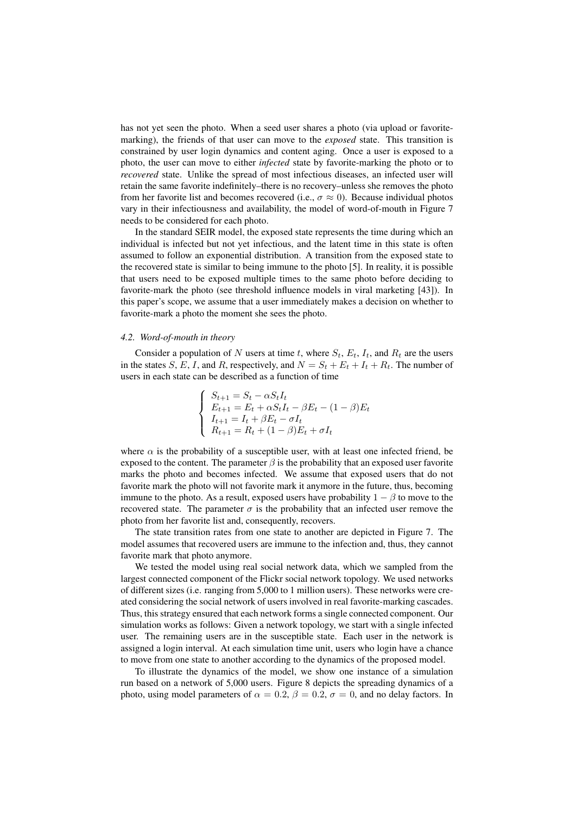has not yet seen the photo. When a seed user shares a photo (via upload or favoritemarking), the friends of that user can move to the *exposed* state. This transition is constrained by user login dynamics and content aging. Once a user is exposed to a photo, the user can move to either *infected* state by favorite-marking the photo or to *recovered* state. Unlike the spread of most infectious diseases, an infected user will retain the same favorite indefinitely–there is no recovery–unless she removes the photo from her favorite list and becomes recovered (i.e.,  $\sigma \approx 0$ ). Because individual photos vary in their infectiousness and availability, the model of word-of-mouth in Figure 7 needs to be considered for each photo.

In the standard SEIR model, the exposed state represents the time during which an individual is infected but not yet infectious, and the latent time in this state is often assumed to follow an exponential distribution. A transition from the exposed state to the recovered state is similar to being immune to the photo [5]. In reality, it is possible that users need to be exposed multiple times to the same photo before deciding to favorite-mark the photo (see threshold influence models in viral marketing [43]). In this paper's scope, we assume that a user immediately makes a decision on whether to favorite-mark a photo the moment she sees the photo.

#### *4.2. Word-of-mouth in theory*

Consider a population of N users at time t, where  $S_t$ ,  $E_t$ ,  $I_t$ , and  $R_t$  are the users in the states S, E, I, and R, respectively, and  $N = S_t + E_t + I_t + R_t$ . The number of users in each state can be described as a function of time

$$
\begin{cases}\nS_{t+1} = S_t - \alpha S_t I_t \\
E_{t+1} = E_t + \alpha S_t I_t - \beta E_t - (1 - \beta) E_t \\
I_{t+1} = I_t + \beta E_t - \sigma I_t \\
R_{t+1} = R_t + (1 - \beta) E_t + \sigma I_t\n\end{cases}
$$

where  $\alpha$  is the probability of a susceptible user, with at least one infected friend, be exposed to the content. The parameter  $\beta$  is the probability that an exposed user favorite marks the photo and becomes infected. We assume that exposed users that do not favorite mark the photo will not favorite mark it anymore in the future, thus, becoming immune to the photo. As a result, exposed users have probability  $1 - \beta$  to move to the recovered state. The parameter  $\sigma$  is the probability that an infected user remove the photo from her favorite list and, consequently, recovers.

The state transition rates from one state to another are depicted in Figure 7. The model assumes that recovered users are immune to the infection and, thus, they cannot favorite mark that photo anymore.

We tested the model using real social network data, which we sampled from the largest connected component of the Flickr social network topology. We used networks of different sizes (i.e. ranging from 5,000 to 1 million users). These networks were created considering the social network of users involved in real favorite-marking cascades. Thus, this strategy ensured that each network forms a single connected component. Our simulation works as follows: Given a network topology, we start with a single infected user. The remaining users are in the susceptible state. Each user in the network is assigned a login interval. At each simulation time unit, users who login have a chance to move from one state to another according to the dynamics of the proposed model.

To illustrate the dynamics of the model, we show one instance of a simulation run based on a network of 5,000 users. Figure 8 depicts the spreading dynamics of a photo, using model parameters of  $\alpha = 0.2$ ,  $\beta = 0.2$ ,  $\sigma = 0$ , and no delay factors. In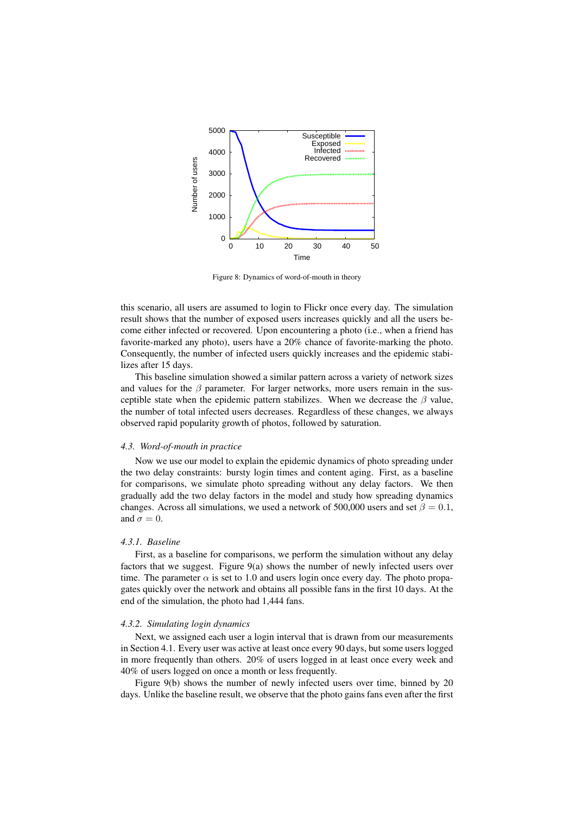

Figure 8: Dynamics of word-of-mouth in theory

this scenario, all users are assumed to login to Flickr once every day. The simulation result shows that the number of exposed users increases quickly and all the users become either infected or recovered. Upon encountering a photo (i.e., when a friend has favorite-marked any photo), users have a 20% chance of favorite-marking the photo. Consequently, the number of infected users quickly increases and the epidemic stabilizes after 15 days.

This baseline simulation showed a similar pattern across a variety of network sizes and values for the  $\beta$  parameter. For larger networks, more users remain in the susceptible state when the epidemic pattern stabilizes. When we decrease the  $\beta$  value, the number of total infected users decreases. Regardless of these changes, we always observed rapid popularity growth of photos, followed by saturation.

#### *4.3. Word-of-mouth in practice*

Now we use our model to explain the epidemic dynamics of photo spreading under the two delay constraints: bursty login times and content aging. First, as a baseline for comparisons, we simulate photo spreading without any delay factors. We then gradually add the two delay factors in the model and study how spreading dynamics changes. Across all simulations, we used a network of 500,000 users and set  $\beta = 0.1$ , and  $\sigma = 0$ .

#### *4.3.1. Baseline*

First, as a baseline for comparisons, we perform the simulation without any delay factors that we suggest. Figure 9(a) shows the number of newly infected users over time. The parameter  $\alpha$  is set to 1.0 and users login once every day. The photo propagates quickly over the network and obtains all possible fans in the first 10 days. At the end of the simulation, the photo had 1,444 fans.

# *4.3.2. Simulating login dynamics*

Next, we assigned each user a login interval that is drawn from our measurements in Section 4.1. Every user was active at least once every 90 days, but some users logged in more frequently than others. 20% of users logged in at least once every week and 40% of users logged on once a month or less frequently.

Figure 9(b) shows the number of newly infected users over time, binned by 20 days. Unlike the baseline result, we observe that the photo gains fans even after the first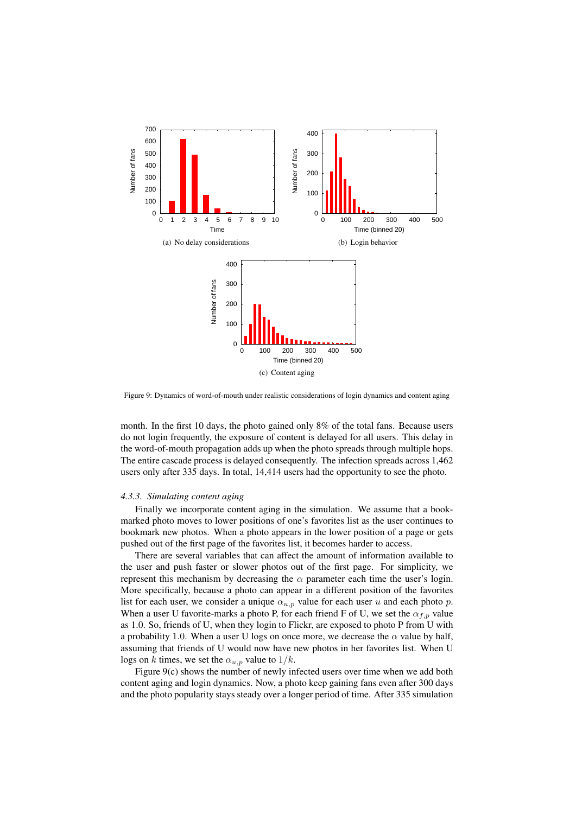

Figure 9: Dynamics of word-of-mouth under realistic considerations of login dynamics and content aging

month. In the first 10 days, the photo gained only 8% of the total fans. Because users do not login frequently, the exposure of content is delayed for all users. This delay in the word-of-mouth propagation adds up when the photo spreads through multiple hops. The entire cascade process is delayed consequently. The infection spreads across 1,462 users only after 335 days. In total, 14,414 users had the opportunity to see the photo.

# *4.3.3. Simulating content aging*

Finally we incorporate content aging in the simulation. We assume that a bookmarked photo moves to lower positions of one's favorites list as the user continues to bookmark new photos. When a photo appears in the lower position of a page or gets pushed out of the first page of the favorites list, it becomes harder to access.

There are several variables that can affect the amount of information available to the user and push faster or slower photos out of the first page. For simplicity, we represent this mechanism by decreasing the  $\alpha$  parameter each time the user's login. More specifically, because a photo can appear in a different position of the favorites list for each user, we consider a unique  $\alpha_{u,p}$  value for each user u and each photo p. When a user U favorite-marks a photo P, for each friend F of U, we set the  $\alpha_{f,p}$  value as 1.0. So, friends of U, when they login to Flickr, are exposed to photo P from U with a probability 1.0. When a user U logs on once more, we decrease the  $\alpha$  value by half, assuming that friends of U would now have new photos in her favorites list. When U logs on k times, we set the  $\alpha_{u,p}$  value to  $1/k$ .

Figure 9(c) shows the number of newly infected users over time when we add both content aging and login dynamics. Now, a photo keep gaining fans even after 300 days and the photo popularity stays steady over a longer period of time. After 335 simulation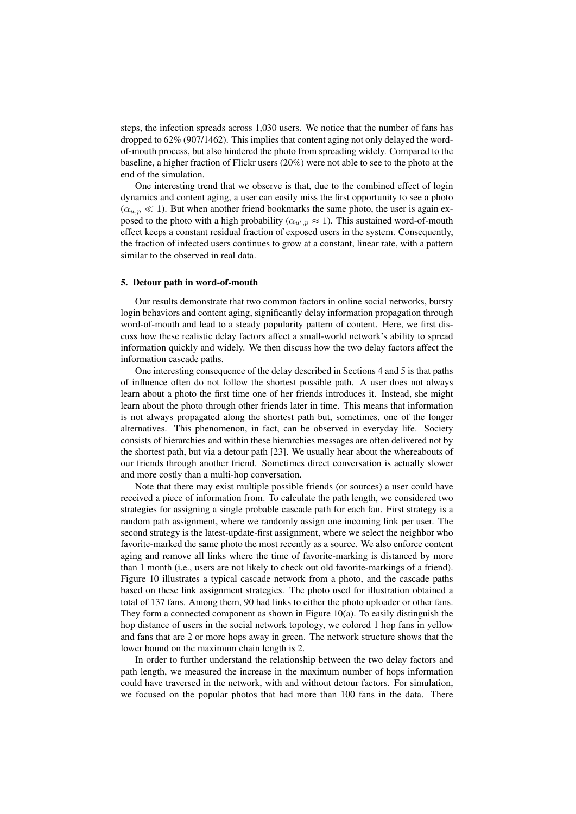steps, the infection spreads across 1,030 users. We notice that the number of fans has dropped to 62% (907/1462). This implies that content aging not only delayed the wordof-mouth process, but also hindered the photo from spreading widely. Compared to the baseline, a higher fraction of Flickr users (20%) were not able to see to the photo at the end of the simulation.

One interesting trend that we observe is that, due to the combined effect of login dynamics and content aging, a user can easily miss the first opportunity to see a photo  $(\alpha_{u,p} \ll 1)$ . But when another friend bookmarks the same photo, the user is again exposed to the photo with a high probability ( $\alpha_{u',p} \approx 1$ ). This sustained word-of-mouth effect keeps a constant residual fraction of exposed users in the system. Consequently, the fraction of infected users continues to grow at a constant, linear rate, with a pattern similar to the observed in real data.

#### 5. Detour path in word-of-mouth

Our results demonstrate that two common factors in online social networks, bursty login behaviors and content aging, significantly delay information propagation through word-of-mouth and lead to a steady popularity pattern of content. Here, we first discuss how these realistic delay factors affect a small-world network's ability to spread information quickly and widely. We then discuss how the two delay factors affect the information cascade paths.

One interesting consequence of the delay described in Sections 4 and 5 is that paths of influence often do not follow the shortest possible path. A user does not always learn about a photo the first time one of her friends introduces it. Instead, she might learn about the photo through other friends later in time. This means that information is not always propagated along the shortest path but, sometimes, one of the longer alternatives. This phenomenon, in fact, can be observed in everyday life. Society consists of hierarchies and within these hierarchies messages are often delivered not by the shortest path, but via a detour path [23]. We usually hear about the whereabouts of our friends through another friend. Sometimes direct conversation is actually slower and more costly than a multi-hop conversation.

Note that there may exist multiple possible friends (or sources) a user could have received a piece of information from. To calculate the path length, we considered two strategies for assigning a single probable cascade path for each fan. First strategy is a random path assignment, where we randomly assign one incoming link per user. The second strategy is the latest-update-first assignment, where we select the neighbor who favorite-marked the same photo the most recently as a source. We also enforce content aging and remove all links where the time of favorite-marking is distanced by more than 1 month (i.e., users are not likely to check out old favorite-markings of a friend). Figure 10 illustrates a typical cascade network from a photo, and the cascade paths based on these link assignment strategies. The photo used for illustration obtained a total of 137 fans. Among them, 90 had links to either the photo uploader or other fans. They form a connected component as shown in Figure 10(a). To easily distinguish the hop distance of users in the social network topology, we colored 1 hop fans in yellow and fans that are 2 or more hops away in green. The network structure shows that the lower bound on the maximum chain length is 2.

In order to further understand the relationship between the two delay factors and path length, we measured the increase in the maximum number of hops information could have traversed in the network, with and without detour factors. For simulation, we focused on the popular photos that had more than 100 fans in the data. There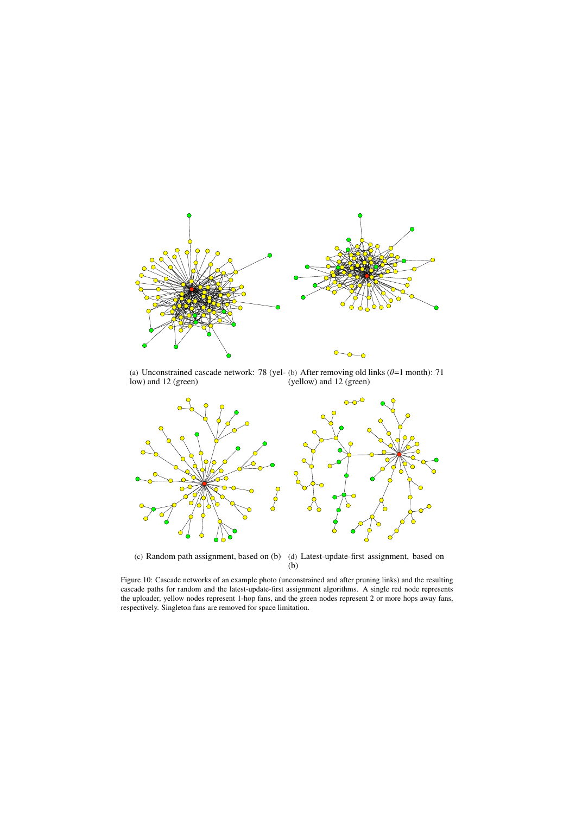

(a) Unconstrained cascade network: 78 (yellow) and 12 (green) (b) After removing old links  $(\theta=1 \text{ month})$ : 71 (yellow) and 12 (green)



(c) Random path assignment, based on (b) (d) Latest-update-first assignment, based on (b)

Figure 10: Cascade networks of an example photo (unconstrained and after pruning links) and the resulting cascade paths for random and the latest-update-first assignment algorithms. A single red node represents the uploader, yellow nodes represent 1-hop fans, and the green nodes represent 2 or more hops away fans, respectively. Singleton fans are removed for space limitation.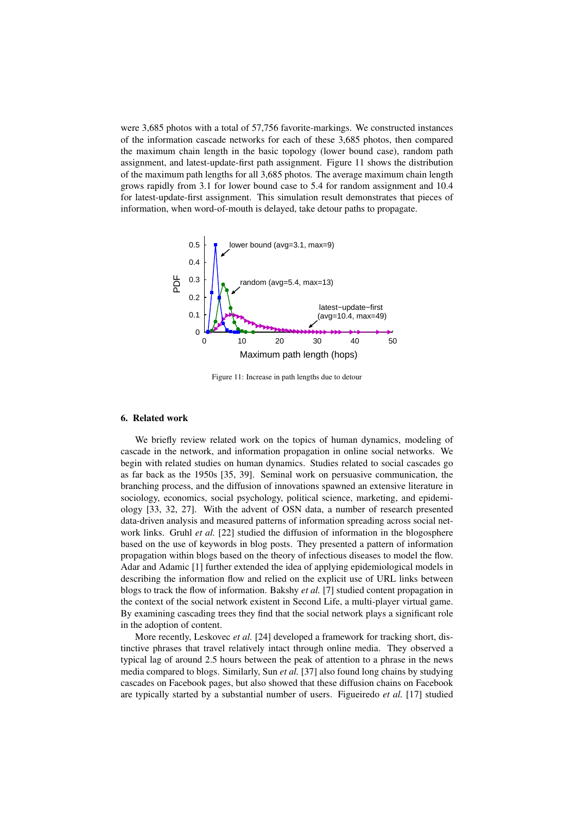were 3,685 photos with a total of 57,756 favorite-markings. We constructed instances of the information cascade networks for each of these 3,685 photos, then compared the maximum chain length in the basic topology (lower bound case), random path assignment, and latest-update-first path assignment. Figure 11 shows the distribution of the maximum path lengths for all 3,685 photos. The average maximum chain length grows rapidly from 3.1 for lower bound case to 5.4 for random assignment and 10.4 for latest-update-first assignment. This simulation result demonstrates that pieces of information, when word-of-mouth is delayed, take detour paths to propagate.



Figure 11: Increase in path lengths due to detour

# 6. Related work

We briefly review related work on the topics of human dynamics, modeling of cascade in the network, and information propagation in online social networks. We begin with related studies on human dynamics. Studies related to social cascades go as far back as the 1950s [35, 39]. Seminal work on persuasive communication, the branching process, and the diffusion of innovations spawned an extensive literature in sociology, economics, social psychology, political science, marketing, and epidemiology [33, 32, 27]. With the advent of OSN data, a number of research presented data-driven analysis and measured patterns of information spreading across social network links. Gruhl *et al.* [22] studied the diffusion of information in the blogosphere based on the use of keywords in blog posts. They presented a pattern of information propagation within blogs based on the theory of infectious diseases to model the flow. Adar and Adamic [1] further extended the idea of applying epidemiological models in describing the information flow and relied on the explicit use of URL links between blogs to track the flow of information. Bakshy *et al.* [7] studied content propagation in the context of the social network existent in Second Life, a multi-player virtual game. By examining cascading trees they find that the social network plays a significant role in the adoption of content.

More recently, Leskovec *et al.* [24] developed a framework for tracking short, distinctive phrases that travel relatively intact through online media. They observed a typical lag of around 2.5 hours between the peak of attention to a phrase in the news media compared to blogs. Similarly, Sun *et al.* [37] also found long chains by studying cascades on Facebook pages, but also showed that these diffusion chains on Facebook are typically started by a substantial number of users. Figueiredo *et al.* [17] studied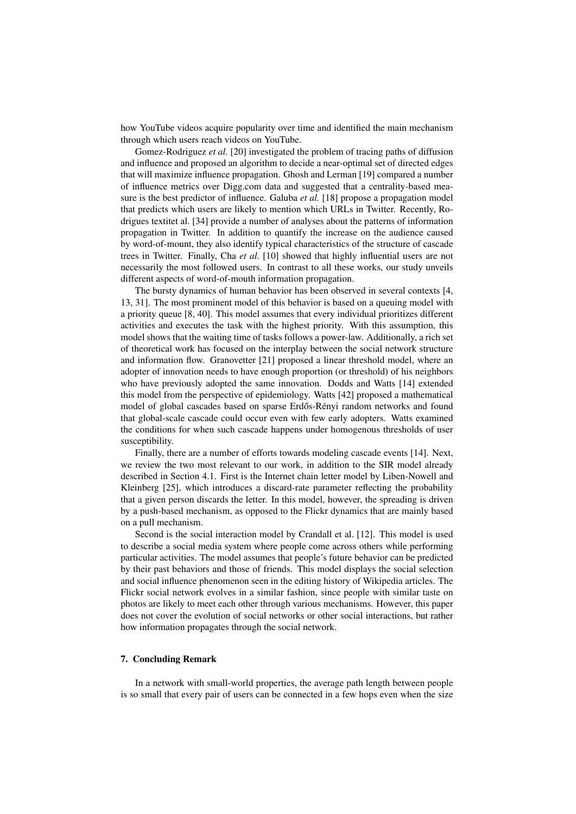how YouTube videos acquire popularity over time and identified the main mechanism through which users reach videos on YouTube.

Gomez-Rodriguez *et al.* [20] investigated the problem of tracing paths of diffusion and influence and proposed an algorithm to decide a near-optimal set of directed edges that will maximize influence propagation. Ghosh and Lerman [19] compared a number of influence metrics over Digg.com data and suggested that a centrality-based measure is the best predictor of influence. Galuba *et al.* [18] propose a propagation model that predicts which users are likely to mention which URLs in Twitter. Recently, Rodrigues textitet al. [34] provide a number of analyses about the patterns of information propagation in Twitter. In addition to quantify the increase on the audience caused by word-of-mount, they also identify typical characteristics of the structure of cascade trees in Twitter. Finally, Cha *et al.* [10] showed that highly influential users are not necessarily the most followed users. In contrast to all these works, our study unveils different aspects of word-of-mouth information propagation.

The bursty dynamics of human behavior has been observed in several contexts [4, 13, 31]. The most prominent model of this behavior is based on a queuing model with a priority queue [8, 40]. This model assumes that every individual prioritizes different activities and executes the task with the highest priority. With this assumption, this model shows that the waiting time of tasks follows a power-law. Additionally, a rich set of theoretical work has focused on the interplay between the social network structure and information flow. Granovetter [21] proposed a linear threshold model, where an adopter of innovation needs to have enough proportion (or threshold) of his neighbors who have previously adopted the same innovation. Dodds and Watts [14] extended this model from the perspective of epidemiology. Watts [42] proposed a mathematical model of global cascades based on sparse Erdős-Rényi random networks and found that global-scale cascade could occur even with few early adopters. Watts examined the conditions for when such cascade happens under homogenous thresholds of user susceptibility.

Finally, there are a number of efforts towards modeling cascade events [14]. Next, we review the two most relevant to our work, in addition to the SIR model already described in Section 4.1. First is the Internet chain letter model by Liben-Nowell and Kleinberg [25], which introduces a discard-rate parameter reflecting the probability that a given person discards the letter. In this model, however, the spreading is driven by a push-based mechanism, as opposed to the Flickr dynamics that are mainly based on a pull mechanism.

Second is the social interaction model by Crandall et al. [12]. This model is used to describe a social media system where people come across others while performing particular activities. The model assumes that people's future behavior can be predicted by their past behaviors and those of friends. This model displays the social selection and social influence phenomenon seen in the editing history of Wikipedia articles. The Flickr social network evolves in a similar fashion, since people with similar taste on photos are likely to meet each other through various mechanisms. However, this paper does not cover the evolution of social networks or other social interactions, but rather how information propagates through the social network.

## 7. Concluding Remark

In a network with small-world properties, the average path length between people is so small that every pair of users can be connected in a few hops even when the size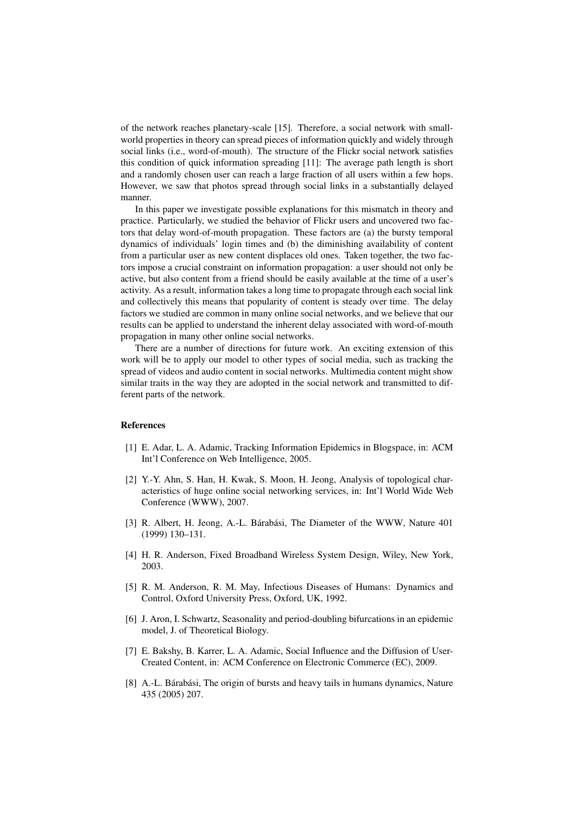of the network reaches planetary-scale [15]. Therefore, a social network with smallworld properties in theory can spread pieces of information quickly and widely through social links (i.e., word-of-mouth). The structure of the Flickr social network satisfies this condition of quick information spreading [11]: The average path length is short and a randomly chosen user can reach a large fraction of all users within a few hops. However, we saw that photos spread through social links in a substantially delayed manner.

In this paper we investigate possible explanations for this mismatch in theory and practice. Particularly, we studied the behavior of Flickr users and uncovered two factors that delay word-of-mouth propagation. These factors are (a) the bursty temporal dynamics of individuals' login times and (b) the diminishing availability of content from a particular user as new content displaces old ones. Taken together, the two factors impose a crucial constraint on information propagation: a user should not only be active, but also content from a friend should be easily available at the time of a user's activity. As a result, information takes a long time to propagate through each social link and collectively this means that popularity of content is steady over time. The delay factors we studied are common in many online social networks, and we believe that our results can be applied to understand the inherent delay associated with word-of-mouth propagation in many other online social networks.

There are a number of directions for future work. An exciting extension of this work will be to apply our model to other types of social media, such as tracking the spread of videos and audio content in social networks. Multimedia content might show similar traits in the way they are adopted in the social network and transmitted to different parts of the network.

#### References

- [1] E. Adar, L. A. Adamic, Tracking Information Epidemics in Blogspace, in: ACM Int'l Conference on Web Intelligence, 2005.
- [2] Y.-Y. Ahn, S. Han, H. Kwak, S. Moon, H. Jeong, Analysis of topological characteristics of huge online social networking services, in: Int'l World Wide Web Conference (WWW), 2007.
- [3] R. Albert, H. Jeong, A.-L. Bárabási, The Diameter of the WWW, Nature 401 (1999) 130–131.
- [4] H. R. Anderson, Fixed Broadband Wireless System Design, Wiley, New York, 2003.
- [5] R. M. Anderson, R. M. May, Infectious Diseases of Humans: Dynamics and Control, Oxford University Press, Oxford, UK, 1992.
- [6] J. Aron, I. Schwartz, Seasonality and period-doubling bifurcations in an epidemic model, J. of Theoretical Biology.
- [7] E. Bakshy, B. Karrer, L. A. Adamic, Social Influence and the Diffusion of User-Created Content, in: ACM Conference on Electronic Commerce (EC), 2009.
- [8] A.-L. Bárabási, The origin of bursts and heavy tails in humans dynamics, Nature 435 (2005) 207.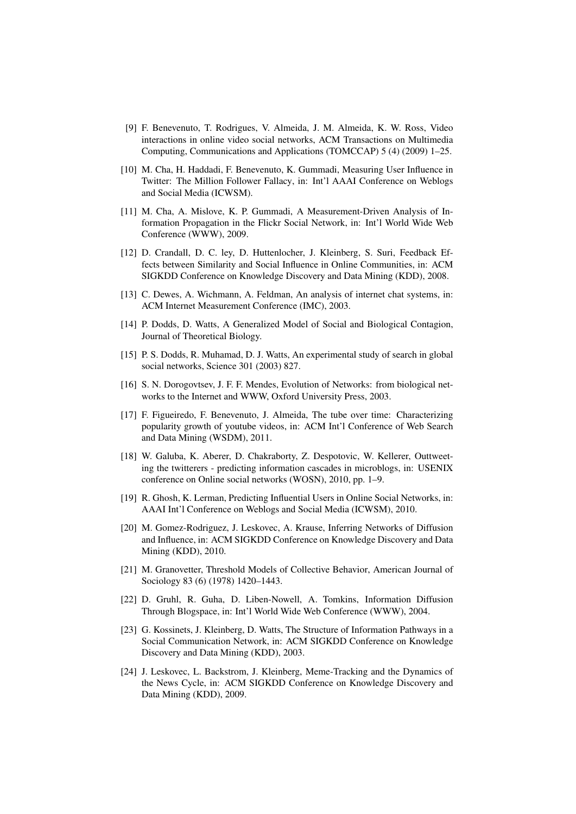- [9] F. Benevenuto, T. Rodrigues, V. Almeida, J. M. Almeida, K. W. Ross, Video interactions in online video social networks, ACM Transactions on Multimedia Computing, Communications and Applications (TOMCCAP) 5 (4) (2009) 1–25.
- [10] M. Cha, H. Haddadi, F. Benevenuto, K. Gummadi, Measuring User Influence in Twitter: The Million Follower Fallacy, in: Int'l AAAI Conference on Weblogs and Social Media (ICWSM).
- [11] M. Cha, A. Mislove, K. P. Gummadi, A Measurement-Driven Analysis of Information Propagation in the Flickr Social Network, in: Int'l World Wide Web Conference (WWW), 2009.
- [12] D. Crandall, D. C. ley, D. Huttenlocher, J. Kleinberg, S. Suri, Feedback Effects between Similarity and Social Influence in Online Communities, in: ACM SIGKDD Conference on Knowledge Discovery and Data Mining (KDD), 2008.
- [13] C. Dewes, A. Wichmann, A. Feldman, An analysis of internet chat systems, in: ACM Internet Measurement Conference (IMC), 2003.
- [14] P. Dodds, D. Watts, A Generalized Model of Social and Biological Contagion, Journal of Theoretical Biology.
- [15] P. S. Dodds, R. Muhamad, D. J. Watts, An experimental study of search in global social networks, Science 301 (2003) 827.
- [16] S. N. Dorogovtsev, J. F. F. Mendes, Evolution of Networks: from biological networks to the Internet and WWW, Oxford University Press, 2003.
- [17] F. Figueiredo, F. Benevenuto, J. Almeida, The tube over time: Characterizing popularity growth of youtube videos, in: ACM Int'l Conference of Web Search and Data Mining (WSDM), 2011.
- [18] W. Galuba, K. Aberer, D. Chakraborty, Z. Despotovic, W. Kellerer, Outtweeting the twitterers - predicting information cascades in microblogs, in: USENIX conference on Online social networks (WOSN), 2010, pp. 1–9.
- [19] R. Ghosh, K. Lerman, Predicting Influential Users in Online Social Networks, in: AAAI Int'l Conference on Weblogs and Social Media (ICWSM), 2010.
- [20] M. Gomez-Rodriguez, J. Leskovec, A. Krause, Inferring Networks of Diffusion and Influence, in: ACM SIGKDD Conference on Knowledge Discovery and Data Mining (KDD), 2010.
- [21] M. Granovetter, Threshold Models of Collective Behavior, American Journal of Sociology 83 (6) (1978) 1420–1443.
- [22] D. Gruhl, R. Guha, D. Liben-Nowell, A. Tomkins, Information Diffusion Through Blogspace, in: Int'l World Wide Web Conference (WWW), 2004.
- [23] G. Kossinets, J. Kleinberg, D. Watts, The Structure of Information Pathways in a Social Communication Network, in: ACM SIGKDD Conference on Knowledge Discovery and Data Mining (KDD), 2003.
- [24] J. Leskovec, L. Backstrom, J. Kleinberg, Meme-Tracking and the Dynamics of the News Cycle, in: ACM SIGKDD Conference on Knowledge Discovery and Data Mining (KDD), 2009.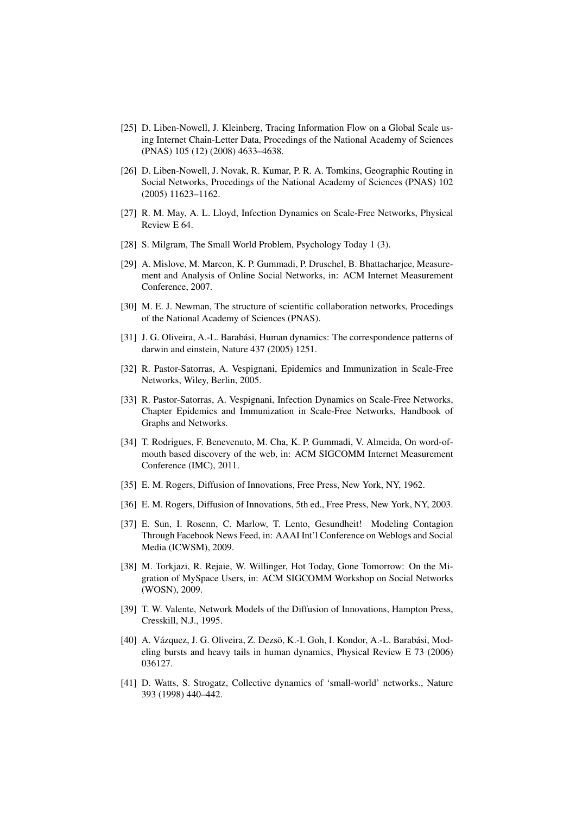- [25] D. Liben-Nowell, J. Kleinberg, Tracing Information Flow on a Global Scale using Internet Chain-Letter Data, Procedings of the National Academy of Sciences (PNAS) 105 (12) (2008) 4633–4638.
- [26] D. Liben-Nowell, J. Novak, R. Kumar, P. R. A. Tomkins, Geographic Routing in Social Networks, Procedings of the National Academy of Sciences (PNAS) 102 (2005) 11623–1162.
- [27] R. M. May, A. L. Lloyd, Infection Dynamics on Scale-Free Networks, Physical Review E 64.
- [28] S. Milgram, The Small World Problem, Psychology Today 1 (3).
- [29] A. Mislove, M. Marcon, K. P. Gummadi, P. Druschel, B. Bhattacharjee, Measurement and Analysis of Online Social Networks, in: ACM Internet Measurement Conference, 2007.
- [30] M. E. J. Newman, The structure of scientific collaboration networks, Procedings of the National Academy of Sciences (PNAS).
- [31] J. G. Oliveira, A.-L. Barabási, Human dynamics: The correspondence patterns of darwin and einstein, Nature 437 (2005) 1251.
- [32] R. Pastor-Satorras, A. Vespignani, Epidemics and Immunization in Scale-Free Networks, Wiley, Berlin, 2005.
- [33] R. Pastor-Satorras, A. Vespignani, Infection Dynamics on Scale-Free Networks, Chapter Epidemics and Immunization in Scale-Free Networks, Handbook of Graphs and Networks.
- [34] T. Rodrigues, F. Benevenuto, M. Cha, K. P. Gummadi, V. Almeida, On word-ofmouth based discovery of the web, in: ACM SIGCOMM Internet Measurement Conference (IMC), 2011.
- [35] E. M. Rogers, Diffusion of Innovations, Free Press, New York, NY, 1962.
- [36] E. M. Rogers, Diffusion of Innovations, 5th ed., Free Press, New York, NY, 2003.
- [37] E. Sun, I. Rosenn, C. Marlow, T. Lento, Gesundheit! Modeling Contagion Through Facebook News Feed, in: AAAI Int'l Conference on Weblogs and Social Media (ICWSM), 2009.
- [38] M. Torkjazi, R. Rejaie, W. Willinger, Hot Today, Gone Tomorrow: On the Migration of MySpace Users, in: ACM SIGCOMM Workshop on Social Networks (WOSN), 2009.
- [39] T. W. Valente, Network Models of the Diffusion of Innovations, Hampton Press, Cresskill, N.J., 1995.
- [40] A. Vázquez, J. G. Oliveira, Z. Dezsö, K.-I. Goh, I. Kondor, A.-L. Barabási, Modeling bursts and heavy tails in human dynamics, Physical Review E 73 (2006) 036127.
- [41] D. Watts, S. Strogatz, Collective dynamics of 'small-world' networks., Nature 393 (1998) 440–442.